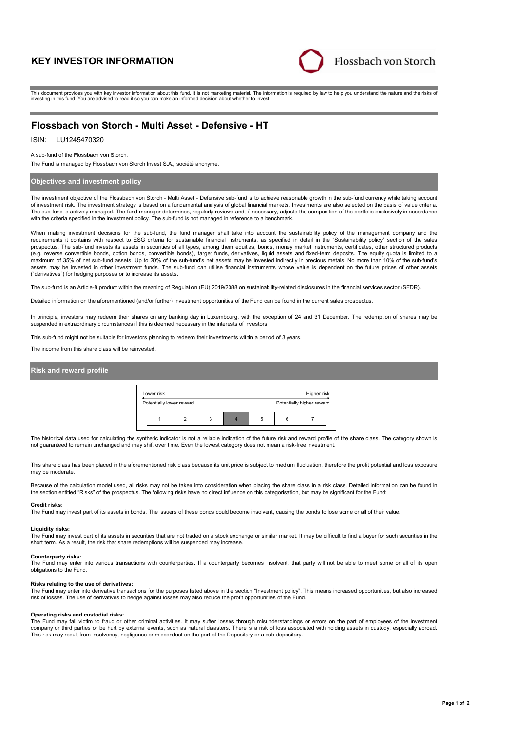# **KEY INVESTOR INFORMATION**



This document provides you with key investor information about this fund. It is not marketing material. The information is required by law to help you understand the nature and the risks of investing in this fund. You are advised to read it so you can make an informed decision about whether to invest.

# **Flossbach von Storch - Multi Asset - Defensive - HT**

# ISIN: LU1245470320

A sub-fund of the Flossbach von Storch.

The Fund is managed by Flossbach von Storch Invest S.A., société anonyme.

# **Objectives and investment policy**

The investment objective of the Flossbach von Storch - Multi Asset - Defensive sub-fund is to achieve reasonable growth in the sub-fund currency while taking account of investment risk. The investment strategy is based on a fundamental analysis of global financial markets. Investments are also selected on the basis of value criteria. The sub-fund is actively managed. The fund manager determines, regularly reviews and, if necessary, adjusts the composition of the portfolio exclusively in accordance with the criteria specified in the investment policy. The sub-fund is not managed in reference to a benchmark.

When making investment decisions for the sub-fund, the fund manager shall take into account the sustainability policy of the management company and the requirements it contains with respect to ESG criteria for sustainable financial instruments, as specified in detail in the "Sustainability policy" section of the sales<br>prospectus. The sub-fund invests its assets in securit (e.g. reverse convertible bonds, option bonds, convertible bonds), target funds, derivatives, liquid assets and fixed-term deposits. The equity quota is limited to a maximum of 35% of net sub-fund assets. Up to 20% of the sub-fund's net assets may be invested indirectly in precious metals. No more than 10% of the sub-fund's assets may be invested in other investment funds. The sub-fund can utilise financial instruments whose value is dependent on the future prices of other assets ("derivatives") for hedging purposes or to increase its assets.

The sub-fund is an Article-8 product within the meaning of Regulation (EU) 2019/2088 on sustainability-related disclosures in the financial services sector (SFDR).

Detailed information on the aforementioned (and/or further) investment opportunities of the Fund can be found in the current sales prospectus.

In principle, investors may redeem their shares on any banking day in Luxembourg, with the exception of 24 and 31 December. The redemption of shares may be suspended in extraordinary circumstances if this is deemed necessary in the interests of investors.

This sub-fund might not be suitable for investors planning to redeem their investments within a period of 3 years.

The income from this share class will be reinvested.

# **Risk and reward profile**



The historical data used for calculating the synthetic indicator is not a reliable indication of the future risk and reward profile of the share class. The category shown is not guaranteed to remain unchanged and may shift over time. Even the lowest category does not mean a risk-free investment.

This share class has been placed in the aforementioned risk class because its unit price is subject to medium fluctuation, therefore the profit potential and loss exposure may be moderate.

Because of the calculation model used, all risks may not be taken into consideration when placing the share class in a risk class. Detailed information can be found in the section entitled "Risks" of the prospectus. The following risks have no direct influence on this categorisation, but may be significant for the Fund:

#### **Credit risks:**

The Fund may invest part of its assets in bonds. The issuers of these bonds could become insolvent, causing the bonds to lose some or all of their value.

#### **Liquidity risks:**

The Fund may invest part of its assets in securities that are not traded on a stock exchange or similar market. It may be difficult to find a buyer for such securities in the short term. As a result, the risk that share redemptions will be suspended may increase.

#### **Counterparty risks:**

The Fund may enter into various transactions with counterparties. If a counterparty becomes insolvent, that party will not be able to meet some or all of its open obligations to the Fund.

#### **Risks relating to the use of derivatives:**

The Fund may enter into derivative transactions for the purposes listed above in the section "Investment policy". This means increased opportunities, but also increased<br>risk of losses. The use of derivatives to hedge again

## **Operating risks and custodial risks:**

The Fund may fall victim to fraud or other criminal activities. It may suffer losses through misunderstandings or errors on the part of employees of the investment company or third parties or be hurt by external events, such as natural disasters. There is a risk of loss associated with holding assets in custody, especially abroad. This risk may result from insolvency, negligence or misconduct on the part of the Depositary or a sub-depositary